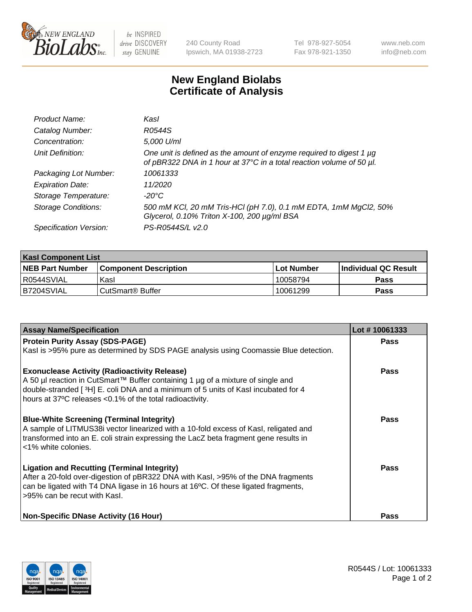

 $be$  INSPIRED drive DISCOVERY stay GENUINE

240 County Road Ipswich, MA 01938-2723 Tel 978-927-5054 Fax 978-921-1350 www.neb.com info@neb.com

## **New England Biolabs Certificate of Analysis**

| Product Name:              | Kasl                                                                                                                                             |
|----------------------------|--------------------------------------------------------------------------------------------------------------------------------------------------|
| Catalog Number:            | R0544S                                                                                                                                           |
| Concentration:             | 5,000 U/ml                                                                                                                                       |
| Unit Definition:           | One unit is defined as the amount of enzyme required to digest 1 $\mu$ g<br>of pBR322 DNA in 1 hour at 37°C in a total reaction volume of 50 µl. |
| Packaging Lot Number:      | 10061333                                                                                                                                         |
| <b>Expiration Date:</b>    | 11/2020                                                                                                                                          |
| Storage Temperature:       | -20°C                                                                                                                                            |
| <b>Storage Conditions:</b> | 500 mM KCl, 20 mM Tris-HCl (pH 7.0), 0.1 mM EDTA, 1mM MgCl2, 50%<br>Glycerol, 0.10% Triton X-100, 200 µg/ml BSA                                  |
| Specification Version:     | PS-R0544S/L v2.0                                                                                                                                 |

| <b>Kasl Component List</b> |                              |              |                       |  |  |
|----------------------------|------------------------------|--------------|-----------------------|--|--|
| <b>NEB Part Number</b>     | <b>Component Description</b> | l Lot Number | ∣Individual QC Result |  |  |
| R0544SVIAL                 | Kasl                         | 10058794     | Pass                  |  |  |
| B7204SVIAL                 | CutSmart <sup>®</sup> Buffer | 10061299     | Pass                  |  |  |

| <b>Assay Name/Specification</b>                                                                                                                                                                     | Lot #10061333 |
|-----------------------------------------------------------------------------------------------------------------------------------------------------------------------------------------------------|---------------|
| <b>Protein Purity Assay (SDS-PAGE)</b>                                                                                                                                                              | Pass          |
| Kasl is >95% pure as determined by SDS PAGE analysis using Coomassie Blue detection.                                                                                                                |               |
| <b>Exonuclease Activity (Radioactivity Release)</b>                                                                                                                                                 | Pass          |
| A 50 µl reaction in CutSmart™ Buffer containing 1 µg of a mixture of single and<br>double-stranded [3H] E. coli DNA and a minimum of 5 units of Kasl incubated for 4                                |               |
| hours at 37°C releases <0.1% of the total radioactivity.                                                                                                                                            |               |
| <b>Blue-White Screening (Terminal Integrity)</b>                                                                                                                                                    | Pass          |
| A sample of LITMUS38i vector linearized with a 10-fold excess of Kasl, religated and<br>transformed into an E. coli strain expressing the LacZ beta fragment gene results in<br><1% white colonies. |               |
| <b>Ligation and Recutting (Terminal Integrity)</b>                                                                                                                                                  | Pass          |
| After a 20-fold over-digestion of pBR322 DNA with KasI, >95% of the DNA fragments                                                                                                                   |               |
| can be ligated with T4 DNA ligase in 16 hours at 16°C. Of these ligated fragments,<br>>95% can be recut with Kasl.                                                                                  |               |
|                                                                                                                                                                                                     |               |
| <b>Non-Specific DNase Activity (16 Hour)</b>                                                                                                                                                        | <b>Pass</b>   |